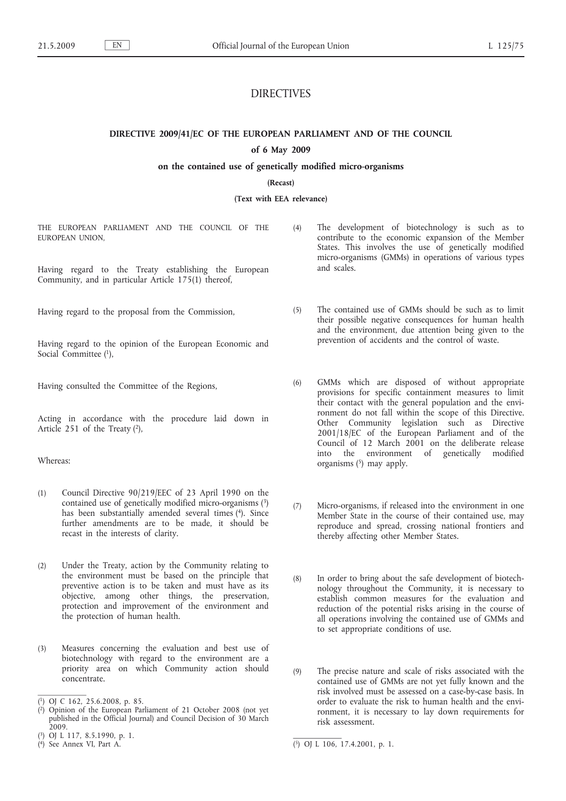# DIRECTIVES

**DIRECTIVE 2009/41/EC OF THE EUROPEAN PARLIAMENT AND OF THE COUNCIL**

# **of 6 May 2009**

# **on the contained use of genetically modified micro-organisms**

# **(Recast)**

**(Text with EEA relevance)**

THE EUROPEAN PARLIAMENT AND THE COUNCIL OF THE EUROPEAN UNION,

Having regard to the Treaty establishing the European Community, and in particular Article 175(1) thereof,

Having regard to the proposal from the Commission,

Having regard to the opinion of the European Economic and Social Committee (1),

Having consulted the Committee of the Regions,

Acting in accordance with the procedure laid down in Article 251 of the Treaty  $(2)$ ,

# Whereas:

- (1) Council Directive 90/219/EEC of 23 April 1990 on the contained use of genetically modified micro-organisms (3) has been substantially amended several times (4). Since further amendments are to be made, it should be recast in the interests of clarity.
- (2) Under the Treaty, action by the Community relating to the environment must be based on the principle that preventive action is to be taken and must have as its objective, among other things, the preservation, protection and improvement of the environment and the protection of human health.
- (3) Measures concerning the evaluation and best use of biotechnology with regard to the environment are a priority area on which Community action should concentrate.
- (4) The development of biotechnology is such as to contribute to the economic expansion of the Member States. This involves the use of genetically modified micro-organisms (GMMs) in operations of various types and scales.
- (5) The contained use of GMMs should be such as to limit their possible negative consequences for human health and the environment, due attention being given to the prevention of accidents and the control of waste.
- (6) GMMs which are disposed of without appropriate provisions for specific containment measures to limit their contact with the general population and the environment do not fall within the scope of this Directive. Other Community legislation such as Directive 2001/18/EC of the European Parliament and of the Council of 12 March 2001 on the deliberate release into the environment of genetically modified organisms  $(5)$  may apply.
- (7) Micro-organisms, if released into the environment in one Member State in the course of their contained use, may reproduce and spread, crossing national frontiers and thereby affecting other Member States.
- (8) In order to bring about the safe development of biotechnology throughout the Community, it is necessary to establish common measures for the evaluation and reduction of the potential risks arising in the course of all operations involving the contained use of GMMs and to set appropriate conditions of use.
- (9) The precise nature and scale of risks associated with the contained use of GMMs are not yet fully known and the risk involved must be assessed on a case-by-case basis. In order to evaluate the risk to human health and the environment, it is necessary to lay down requirements for risk assessment.

<sup>(</sup> 1) OJ C 162, 25.6.2008, p. 85.

<sup>(</sup> 2) Opinion of the European Parliament of 21 October 2008 (not yet published in the Official Journal) and Council Decision of 30 March  $2009.$ 

<sup>(</sup> 3) OJ L 117, 8.5.1990, p. 1.

<sup>&</sup>lt;sup>(4)</sup> See Annex VI, Part A.

 $(5)$  OJ L 106, 17.4.2001, p. 1.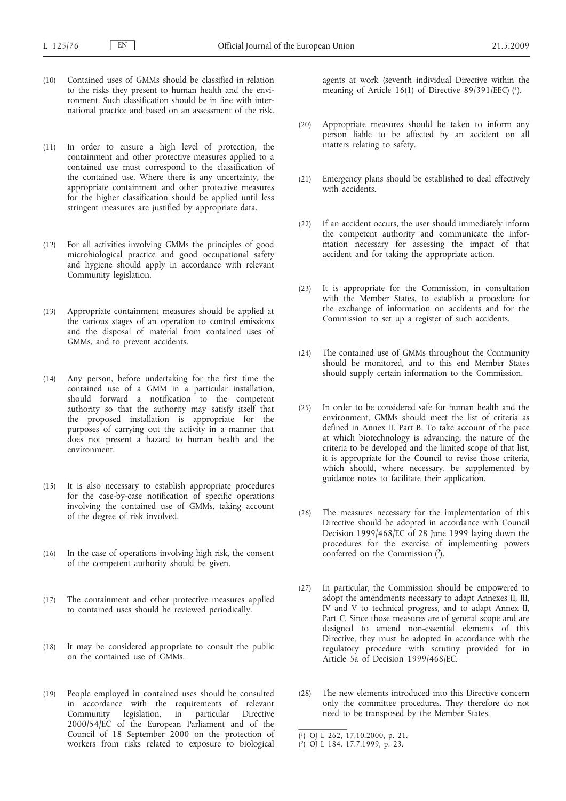- (10) Contained uses of GMMs should be classified in relation to the risks they present to human health and the environment. Such classification should be in line with international practice and based on an assessment of the risk.
- (11) In order to ensure a high level of protection, the containment and other protective measures applied to a contained use must correspond to the classification of the contained use. Where there is any uncertainty, the appropriate containment and other protective measures for the higher classification should be applied until less stringent measures are justified by appropriate data.
- (12) For all activities involving GMMs the principles of good microbiological practice and good occupational safety and hygiene should apply in accordance with relevant Community legislation.
- (13) Appropriate containment measures should be applied at the various stages of an operation to control emissions and the disposal of material from contained uses of GMMs, and to prevent accidents.
- (14) Any person, before undertaking for the first time the contained use of a GMM in a particular installation, should forward a notification to the competent authority so that the authority may satisfy itself that the proposed installation is appropriate for the purposes of carrying out the activity in a manner that does not present a hazard to human health and the environment.
- (15) It is also necessary to establish appropriate procedures for the case-by-case notification of specific operations involving the contained use of GMMs, taking account of the degree of risk involved.
- (16) In the case of operations involving high risk, the consent of the competent authority should be given.
- (17) The containment and other protective measures applied to contained uses should be reviewed periodically.
- (18) It may be considered appropriate to consult the public on the contained use of GMMs.
- (19) People employed in contained uses should be consulted in accordance with the requirements of relevant Community legislation, in particular Directive 2000/54/EC of the European Parliament and of the Council of 18 September 2000 on the protection of workers from risks related to exposure to biological

agents at work (seventh individual Directive within the meaning of Article 16(1) of Directive 89/391/EEC) (1).

- (20) Appropriate measures should be taken to inform any person liable to be affected by an accident on all matters relating to safety.
- (21) Emergency plans should be established to deal effectively with accidents.
- (22) If an accident occurs, the user should immediately inform the competent authority and communicate the information necessary for assessing the impact of that accident and for taking the appropriate action.
- (23) It is appropriate for the Commission, in consultation with the Member States, to establish a procedure for the exchange of information on accidents and for the Commission to set up a register of such accidents.
- (24) The contained use of GMMs throughout the Community should be monitored, and to this end Member States should supply certain information to the Commission.
- (25) In order to be considered safe for human health and the environment, GMMs should meet the list of criteria as defined in Annex II, Part B. To take account of the pace at which biotechnology is advancing, the nature of the criteria to be developed and the limited scope of that list, it is appropriate for the Council to revise those criteria, which should, where necessary, be supplemented by guidance notes to facilitate their application.
- (26) The measures necessary for the implementation of this Directive should be adopted in accordance with Council Decision 1999/468/EC of 28 June 1999 laying down the procedures for the exercise of implementing powers conferred on the Commission (2).
- (27) In particular, the Commission should be empowered to adopt the amendments necessary to adapt Annexes II, III, IV and V to technical progress, and to adapt Annex II, Part C. Since those measures are of general scope and are designed to amend non-essential elements of this Directive, they must be adopted in accordance with the regulatory procedure with scrutiny provided for in Article 5a of Decision 1999/468/EC.
- (28) The new elements introduced into this Directive concern only the committee procedures. They therefore do not need to be transposed by the Member States.

<sup>(</sup> 1) OJ L 262, 17.10.2000, p. 21.

<sup>(</sup> 2) OJ L 184, 17.7.1999, p. 23.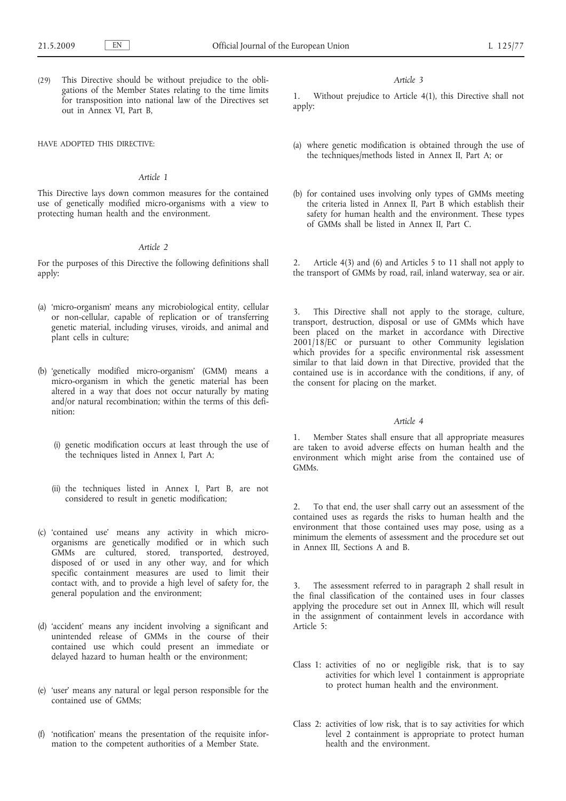(29) This Directive should be without prejudice to the obligations of the Member States relating to the time limits for transposition into national law of the Directives set out in Annex VI, Part B,

HAVE ADOPTED THIS DIRECTIVE:

#### *Article 1*

This Directive lays down common measures for the contained use of genetically modified micro-organisms with a view to protecting human health and the environment.

# *Article 2*

For the purposes of this Directive the following definitions shall apply:

- (a) 'micro-organism' means any microbiological entity, cellular or non-cellular, capable of replication or of transferring genetic material, including viruses, viroids, and animal and plant cells in culture;
- (b) 'genetically modified micro-organism' (GMM) means a micro-organism in which the genetic material has been altered in a way that does not occur naturally by mating and/or natural recombination; within the terms of this definition:
	- (i) genetic modification occurs at least through the use of the techniques listed in Annex I, Part A;
	- (ii) the techniques listed in Annex I, Part B, are not considered to result in genetic modification;
- (c) 'contained use' means any activity in which microorganisms are genetically modified or in which such GMMs are cultured, stored, transported, destroyed, disposed of or used in any other way, and for which specific containment measures are used to limit their contact with, and to provide a high level of safety for, the general population and the environment;
- (d) 'accident' means any incident involving a significant and unintended release of GMMs in the course of their contained use which could present an immediate or delayed hazard to human health or the environment;
- (e) 'user' means any natural or legal person responsible for the contained use of GMMs;
- (f) 'notification' means the presentation of the requisite information to the competent authorities of a Member State.

#### *Article 3*

1. Without prejudice to Article 4(1), this Directive shall not apply:

- (a) where genetic modification is obtained through the use of the techniques/methods listed in Annex II, Part A; or
- (b) for contained uses involving only types of GMMs meeting the criteria listed in Annex II, Part B which establish their safety for human health and the environment. These types of GMMs shall be listed in Annex II, Part C.

2. Article 4(3) and (6) and Articles 5 to 11 shall not apply to the transport of GMMs by road, rail, inland waterway, sea or air.

3. This Directive shall not apply to the storage, culture, transport, destruction, disposal or use of GMMs which have been placed on the market in accordance with Directive 2001/18/EC or pursuant to other Community legislation which provides for a specific environmental risk assessment similar to that laid down in that Directive, provided that the contained use is in accordance with the conditions, if any, of the consent for placing on the market.

#### *Article 4*

Member States shall ensure that all appropriate measures are taken to avoid adverse effects on human health and the environment which might arise from the contained use of GMMs.

2. To that end, the user shall carry out an assessment of the contained uses as regards the risks to human health and the environment that those contained uses may pose, using as a minimum the elements of assessment and the procedure set out in Annex III, Sections A and B.

3. The assessment referred to in paragraph 2 shall result in the final classification of the contained uses in four classes applying the procedure set out in Annex III, which will result in the assignment of containment levels in accordance with Article 5:

- Class 1: activities of no or negligible risk, that is to say activities for which level 1 containment is appropriate to protect human health and the environment.
- Class 2: activities of low risk, that is to say activities for which level 2 containment is appropriate to protect human health and the environment.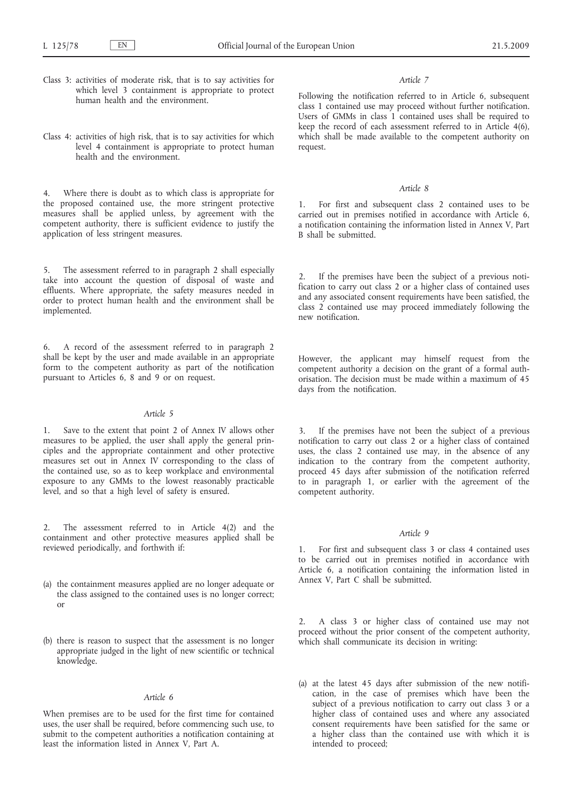- Class 3: activities of moderate risk, that is to say activities for which level 3 containment is appropriate to protect human health and the environment.
- Class 4: activities of high risk, that is to say activities for which level 4 containment is appropriate to protect human health and the environment.

4. Where there is doubt as to which class is appropriate for the proposed contained use, the more stringent protective measures shall be applied unless, by agreement with the competent authority, there is sufficient evidence to justify the application of less stringent measures.

5. The assessment referred to in paragraph 2 shall especially take into account the question of disposal of waste and effluents. Where appropriate, the safety measures needed in order to protect human health and the environment shall be implemented.

6. A record of the assessment referred to in paragraph 2 shall be kept by the user and made available in an appropriate form to the competent authority as part of the notification pursuant to Articles 6, 8 and 9 or on request.

# *Article 5*

1. Save to the extent that point 2 of Annex IV allows other measures to be applied, the user shall apply the general principles and the appropriate containment and other protective measures set out in Annex IV corresponding to the class of the contained use, so as to keep workplace and environmental exposure to any GMMs to the lowest reasonably practicable level, and so that a high level of safety is ensured.

2. The assessment referred to in Article 4(2) and the containment and other protective measures applied shall be reviewed periodically, and forthwith if:

- (a) the containment measures applied are no longer adequate or the class assigned to the contained uses is no longer correct; or
- (b) there is reason to suspect that the assessment is no longer appropriate judged in the light of new scientific or technical knowledge.

#### *Article 6*

When premises are to be used for the first time for contained uses, the user shall be required, before commencing such use, to submit to the competent authorities a notification containing at least the information listed in Annex V, Part A.

#### *Article 7*

Following the notification referred to in Article 6, subsequent class 1 contained use may proceed without further notification. Users of GMMs in class 1 contained uses shall be required to keep the record of each assessment referred to in Article 4(6), which shall be made available to the competent authority on request.

#### *Article 8*

1. For first and subsequent class 2 contained uses to be carried out in premises notified in accordance with Article 6, a notification containing the information listed in Annex V, Part B shall be submitted.

If the premises have been the subject of a previous notification to carry out class 2 or a higher class of contained uses and any associated consent requirements have been satisfied, the class 2 contained use may proceed immediately following the new notification.

However, the applicant may himself request from the competent authority a decision on the grant of a formal authorisation. The decision must be made within a maximum of 45 days from the notification.

3. If the premises have not been the subject of a previous notification to carry out class 2 or a higher class of contained uses, the class 2 contained use may, in the absence of any indication to the contrary from the competent authority, proceed 45 days after submission of the notification referred to in paragraph 1, or earlier with the agreement of the competent authority.

#### *Article 9*

1. For first and subsequent class 3 or class 4 contained uses to be carried out in premises notified in accordance with Article 6, a notification containing the information listed in Annex V, Part C shall be submitted.

2. A class 3 or higher class of contained use may not proceed without the prior consent of the competent authority, which shall communicate its decision in writing:

(a) at the latest 45 days after submission of the new notification, in the case of premises which have been the subject of a previous notification to carry out class 3 or a higher class of contained uses and where any associated consent requirements have been satisfied for the same or a higher class than the contained use with which it is intended to proceed;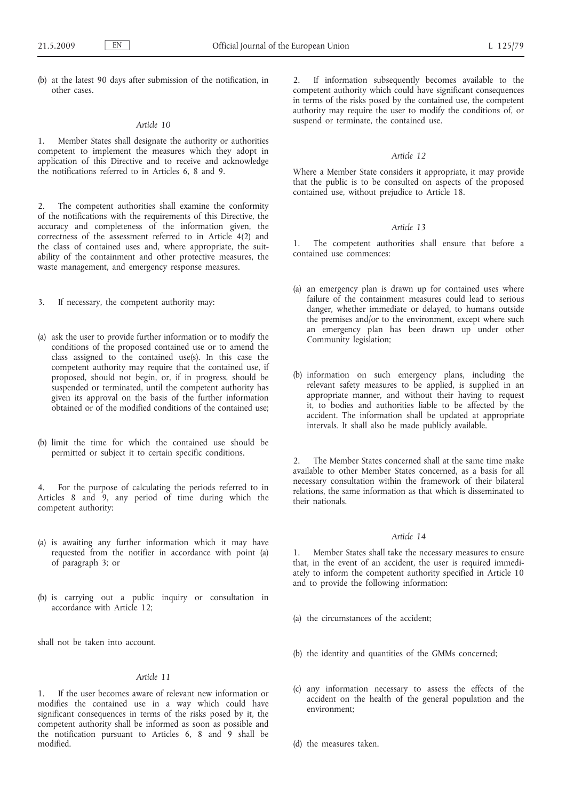(b) at the latest 90 days after submission of the notification, in other cases.

# *Article 10*

1. Member States shall designate the authority or authorities competent to implement the measures which they adopt in application of this Directive and to receive and acknowledge the notifications referred to in Articles 6, 8 and 9.

2. The competent authorities shall examine the conformity of the notifications with the requirements of this Directive, the accuracy and completeness of the information given, the correctness of the assessment referred to in Article 4(2) and the class of contained uses and, where appropriate, the suitability of the containment and other protective measures, the waste management, and emergency response measures.

3. If necessary, the competent authority may:

- (a) ask the user to provide further information or to modify the conditions of the proposed contained use or to amend the class assigned to the contained use(s). In this case the competent authority may require that the contained use, if proposed, should not begin, or, if in progress, should be suspended or terminated, until the competent authority has given its approval on the basis of the further information obtained or of the modified conditions of the contained use;
- (b) limit the time for which the contained use should be permitted or subject it to certain specific conditions.

4. For the purpose of calculating the periods referred to in Articles 8 and 9, any period of time during which the competent authority:

- (a) is awaiting any further information which it may have requested from the notifier in accordance with point (a) of paragraph 3; or
- (b) is carrying out a public inquiry or consultation in accordance with Article 12;

shall not be taken into account.

# *Article 11*

1. If the user becomes aware of relevant new information or modifies the contained use in a way which could have significant consequences in terms of the risks posed by it, the competent authority shall be informed as soon as possible and the notification pursuant to Articles 6, 8 and 9 shall be modified.

2. If information subsequently becomes available to the competent authority which could have significant consequences in terms of the risks posed by the contained use, the competent authority may require the user to modify the conditions of, or suspend or terminate, the contained use.

#### *Article 12*

Where a Member State considers it appropriate, it may provide that the public is to be consulted on aspects of the proposed contained use, without prejudice to Article 18.

# *Article 13*

1. The competent authorities shall ensure that before a contained use commences:

- (a) an emergency plan is drawn up for contained uses where failure of the containment measures could lead to serious danger, whether immediate or delayed, to humans outside the premises and/or to the environment, except where such an emergency plan has been drawn up under other Community legislation;
- (b) information on such emergency plans, including the relevant safety measures to be applied, is supplied in an appropriate manner, and without their having to request it, to bodies and authorities liable to be affected by the accident. The information shall be updated at appropriate intervals. It shall also be made publicly available.

2. The Member States concerned shall at the same time make available to other Member States concerned, as a basis for all necessary consultation within the framework of their bilateral relations, the same information as that which is disseminated to their nationals.

# *Article 14*

1. Member States shall take the necessary measures to ensure that, in the event of an accident, the user is required immediately to inform the competent authority specified in Article 10 and to provide the following information:

- (a) the circumstances of the accident;
- (b) the identity and quantities of the GMMs concerned;
- (c) any information necessary to assess the effects of the accident on the health of the general population and the environment;

(d) the measures taken.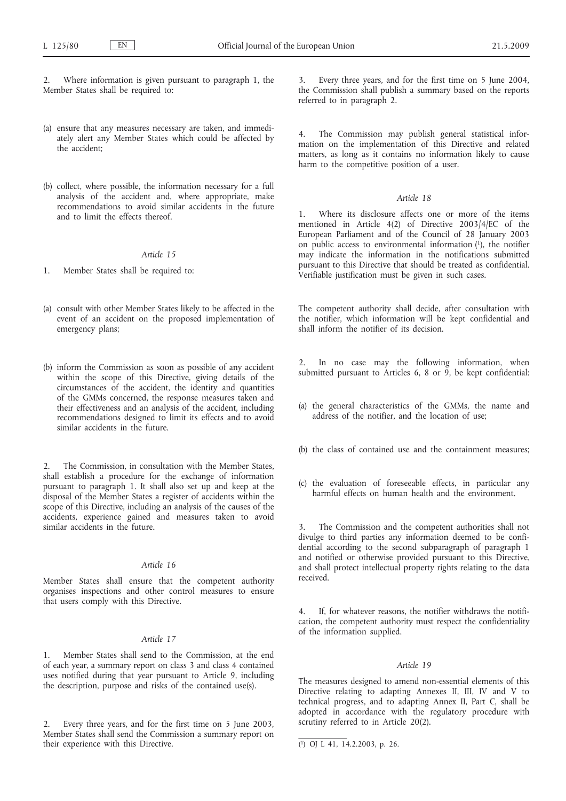2. Where information is given pursuant to paragraph 1, the Member States shall be required to:

- (a) ensure that any measures necessary are taken, and immediately alert any Member States which could be affected by the accident;
- (b) collect, where possible, the information necessary for a full analysis of the accident and, where appropriate, make recommendations to avoid similar accidents in the future and to limit the effects thereof.

# *Article 15*

- 1. Member States shall be required to:
- (a) consult with other Member States likely to be affected in the event of an accident on the proposed implementation of emergency plans;
- (b) inform the Commission as soon as possible of any accident within the scope of this Directive, giving details of the circumstances of the accident, the identity and quantities of the GMMs concerned, the response measures taken and their effectiveness and an analysis of the accident, including recommendations designed to limit its effects and to avoid similar accidents in the future.

2. The Commission, in consultation with the Member States, shall establish a procedure for the exchange of information pursuant to paragraph 1. It shall also set up and keep at the disposal of the Member States a register of accidents within the scope of this Directive, including an analysis of the causes of the accidents, experience gained and measures taken to avoid similar accidents in the future.

# *Article 16*

Member States shall ensure that the competent authority organises inspections and other control measures to ensure that users comply with this Directive.

# *Article 17*

Member States shall send to the Commission, at the end of each year, a summary report on class 3 and class 4 contained uses notified during that year pursuant to Article 9, including the description, purpose and risks of the contained use(s).

2. Every three years, and for the first time on 5 June 2003, Member States shall send the Commission a summary report on their experience with this Directive.

3. Every three years, and for the first time on 5 June 2004, the Commission shall publish a summary based on the reports referred to in paragraph 2.

4. The Commission may publish general statistical information on the implementation of this Directive and related matters, as long as it contains no information likely to cause harm to the competitive position of a user.

# *Article 18*

1. Where its disclosure affects one or more of the items mentioned in Article 4(2) of Directive 2003/4/EC of the European Parliament and of the Council of 28 January 2003 on public access to environmental information  $(1)$ , the notifier may indicate the information in the notifications submitted pursuant to this Directive that should be treated as confidential. Verifiable justification must be given in such cases.

The competent authority shall decide, after consultation with the notifier, which information will be kept confidential and shall inform the notifier of its decision.

2. In no case may the following information, when submitted pursuant to Articles 6, 8 or 9, be kept confidential:

- (a) the general characteristics of the GMMs, the name and address of the notifier, and the location of use;
- (b) the class of contained use and the containment measures;
- (c) the evaluation of foreseeable effects, in particular any harmful effects on human health and the environment.

The Commission and the competent authorities shall not divulge to third parties any information deemed to be confidential according to the second subparagraph of paragraph 1 and notified or otherwise provided pursuant to this Directive, and shall protect intellectual property rights relating to the data received.

If, for whatever reasons, the notifier withdraws the notification, the competent authority must respect the confidentiality of the information supplied.

## *Article 19*

The measures designed to amend non-essential elements of this Directive relating to adapting Annexes II, III, IV and V to technical progress, and to adapting Annex II, Part C, shall be adopted in accordance with the regulatory procedure with scrutiny referred to in Article 20(2).

<sup>(</sup> 1) OJ L 41, 14.2.2003, p. 26.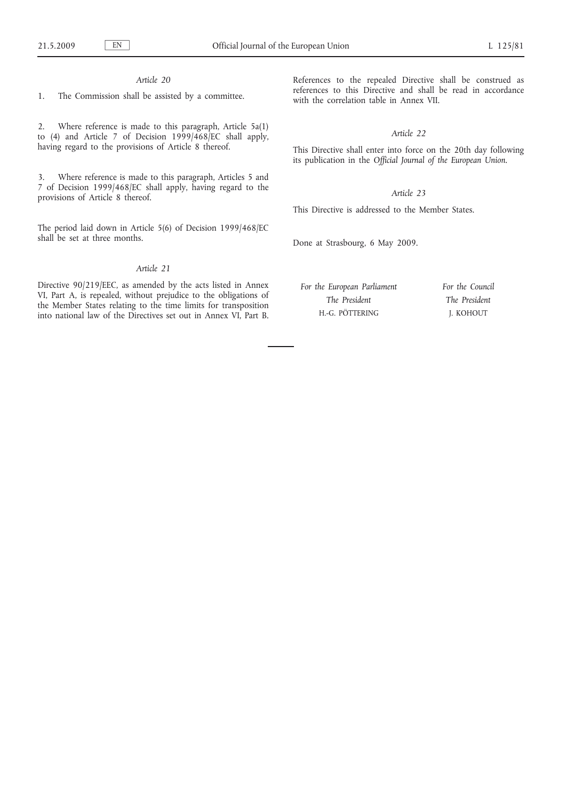# *Article 20*

1. The Commission shall be assisted by a committee.

2. Where reference is made to this paragraph, Article 5a(1) to (4) and Article 7 of Decision  $1999/468/EC$  shall apply, having regard to the provisions of Article 8 thereof.

3. Where reference is made to this paragraph, Articles 5 and 7 of Decision 1999/468/EC shall apply, having regard to the provisions of Article 8 thereof.

The period laid down in Article 5(6) of Decision 1999/468/EC shall be set at three months.

# *Article 21*

Directive 90/219/EEC, as amended by the acts listed in Annex VI, Part A, is repealed, without prejudice to the obligations of the Member States relating to the time limits for transposition into national law of the Directives set out in Annex VI, Part B.

References to the repealed Directive shall be construed as references to this Directive and shall be read in accordance with the correlation table in Annex VII.

# *Article 22*

This Directive shall enter into force on the 20th day following its publication in the *Official Journal of the European Union*.

# *Article 23*

This Directive is addressed to the Member States.

Done at Strasbourg, 6 May 2009.

*For the European Parliament The President* H.-G. PÖTTERING

*For the Council The President* J. KOHOUT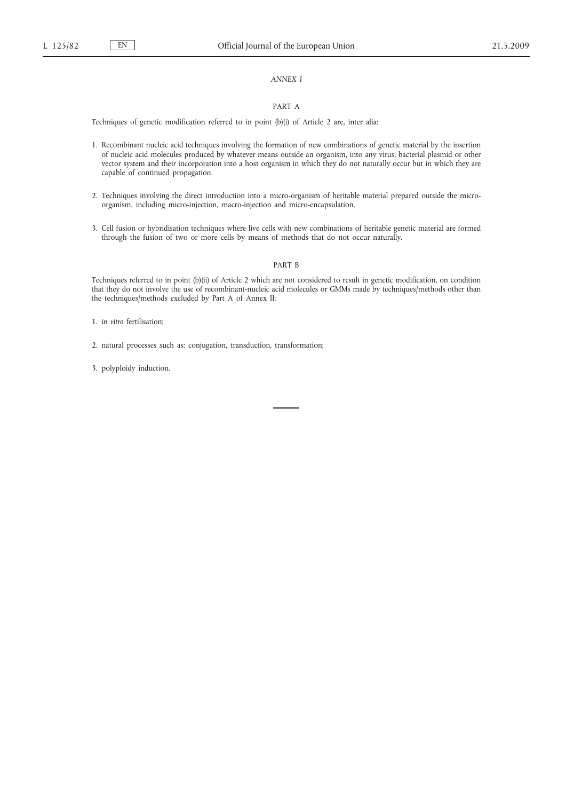# *ANNEX I*

#### PART A

Techniques of genetic modification referred to in point (b)(i) of Article 2 are, inter alia:

- 1. Recombinant nucleic acid techniques involving the formation of new combinations of genetic material by the insertion of nucleic acid molecules produced by whatever means outside an organism, into any virus, bacterial plasmid or other vector system and their incorporation into a host organism in which they do not naturally occur but in which they are capable of continued propagation.
- 2. Techniques involving the direct introduction into a micro-organism of heritable material prepared outside the microorganism, including micro-injection, macro-injection and micro-encapsulation.
- 3. Cell fusion or hybridisation techniques where live cells with new combinations of heritable genetic material are formed through the fusion of two or more cells by means of methods that do not occur naturally.

#### PART B

Techniques referred to in point (b)(ii) of Article 2 which are not considered to result in genetic modification, on condition that they do not involve the use of recombinant-nucleic acid molecules or GMMs made by techniques/methods other than the techniques/methods excluded by Part A of Annex II:

- 1. *in vitro* fertilisation;
- 2. natural processes such as: conjugation, transduction, transformation;
- 3. polyploidy induction.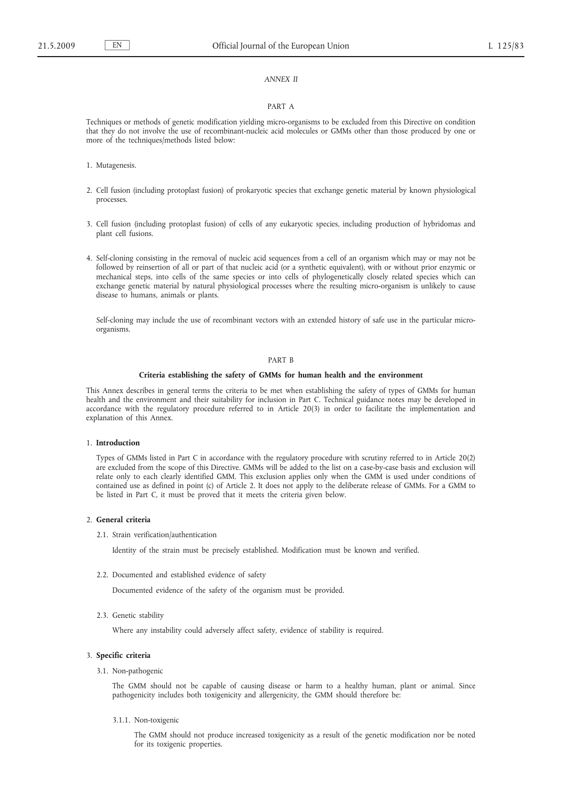# *ANNEX II*

#### PART A

Techniques or methods of genetic modification yielding micro-organisms to be excluded from this Directive on condition that they do not involve the use of recombinant-nucleic acid molecules or GMMs other than those produced by one or more of the techniques/methods listed below:

- 1. Mutagenesis.
- 2. Cell fusion (including protoplast fusion) of prokaryotic species that exchange genetic material by known physiological processes.
- 3. Cell fusion (including protoplast fusion) of cells of any eukaryotic species, including production of hybridomas and plant cell fusions.
- 4. Self-cloning consisting in the removal of nucleic acid sequences from a cell of an organism which may or may not be followed by reinsertion of all or part of that nucleic acid (or a synthetic equivalent), with or without prior enzymic or mechanical steps, into cells of the same species or into cells of phylogenetically closely related species which can exchange genetic material by natural physiological processes where the resulting micro-organism is unlikely to cause disease to humans, animals or plants.

Self-cloning may include the use of recombinant vectors with an extended history of safe use in the particular microorganisms.

#### PART B

#### **Criteria establishing the safety of GMMs for human health and the environment**

This Annex describes in general terms the criteria to be met when establishing the safety of types of GMMs for human health and the environment and their suitability for inclusion in Part C. Technical guidance notes may be developed in accordance with the regulatory procedure referred to in Article 20(3) in order to facilitate the implementation and explanation of this Annex.

# 1. **Introduction**

Types of GMMs listed in Part C in accordance with the regulatory procedure with scrutiny referred to in Article 20(2) are excluded from the scope of this Directive. GMMs will be added to the list on a case-by-case basis and exclusion will relate only to each clearly identified GMM. This exclusion applies only when the GMM is used under conditions of contained use as defined in point (c) of Article 2. It does not apply to the deliberate release of GMMs. For a GMM to be listed in Part C, it must be proved that it meets the criteria given below.

#### 2. **General criteria**

2.1. Strain verification/authentication

Identity of the strain must be precisely established. Modification must be known and verified.

2.2. Documented and established evidence of safety

Documented evidence of the safety of the organism must be provided.

2.3. Genetic stability

Where any instability could adversely affect safety, evidence of stability is required.

#### 3. **Specific criteria**

3.1. Non-pathogenic

The GMM should not be capable of causing disease or harm to a healthy human, plant or animal. Since pathogenicity includes both toxigenicity and allergenicity, the GMM should therefore be:

3.1.1. Non-toxigenic

The GMM should not produce increased toxigenicity as a result of the genetic modification nor be noted for its toxigenic properties.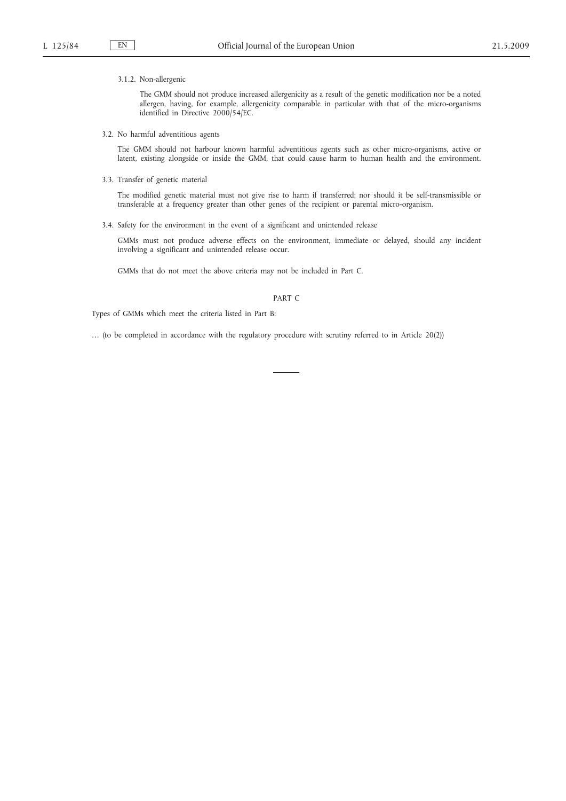#### 3.1.2. Non-allergenic

The GMM should not produce increased allergenicity as a result of the genetic modification nor be a noted allergen, having, for example, allergenicity comparable in particular with that of the micro-organisms identified in Directive 2000/54/EC.

3.2. No harmful adventitious agents

The GMM should not harbour known harmful adventitious agents such as other micro-organisms, active or latent, existing alongside or inside the GMM, that could cause harm to human health and the environment.

3.3. Transfer of genetic material

The modified genetic material must not give rise to harm if transferred; nor should it be self-transmissible or transferable at a frequency greater than other genes of the recipient or parental micro-organism.

3.4. Safety for the environment in the event of a significant and unintended release

GMMs must not produce adverse effects on the environment, immediate or delayed, should any incident involving a significant and unintended release occur.

GMMs that do not meet the above criteria may not be included in Part C.

#### PART C

Types of GMMs which meet the criteria listed in Part B:

… (to be completed in accordance with the regulatory procedure with scrutiny referred to in Article 20(2))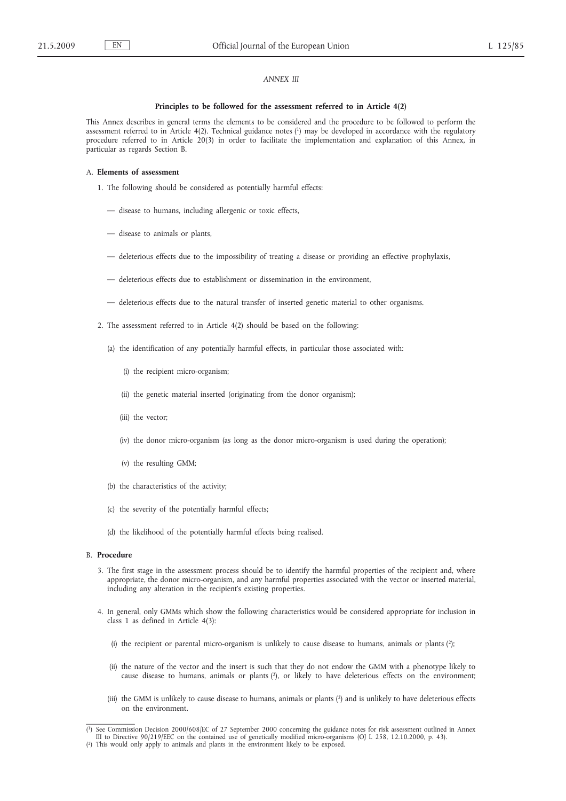# *ANNEX III*

#### **Principles to be followed for the assessment referred to in Article 4(2)**

This Annex describes in general terms the elements to be considered and the procedure to be followed to perform the assessment referred to in Article 4(2). Technical guidance notes (1) may be developed in accordance with the regulatory procedure referred to in Article 20(3) in order to facilitate the implementation and explanation of this Annex, in particular as regards Section B.

#### A. **Elements of assessment**

- 1. The following should be considered as potentially harmful effects:
	- disease to humans, including allergenic or toxic effects,
	- disease to animals or plants,
	- deleterious effects due to the impossibility of treating a disease or providing an effective prophylaxis,
	- deleterious effects due to establishment or dissemination in the environment,
	- deleterious effects due to the natural transfer of inserted genetic material to other organisms.
- 2. The assessment referred to in Article 4(2) should be based on the following:
	- (a) the identification of any potentially harmful effects, in particular those associated with:
		- (i) the recipient micro-organism;
		- (ii) the genetic material inserted (originating from the donor organism);
		- (iii) the vector;
		- (iv) the donor micro-organism (as long as the donor micro-organism is used during the operation);
		- (v) the resulting GMM;
	- (b) the characteristics of the activity;
	- (c) the severity of the potentially harmful effects;
	- (d) the likelihood of the potentially harmful effects being realised.

#### B. **Procedure**

- 3. The first stage in the assessment process should be to identify the harmful properties of the recipient and, where appropriate, the donor micro-organism, and any harmful properties associated with the vector or inserted material, including any alteration in the recipient's existing properties.
- 4. In general, only GMMs which show the following characteristics would be considered appropriate for inclusion in class 1 as defined in Article 4(3):
	- (i) the recipient or parental micro-organism is unlikely to cause disease to humans, animals or plants  $(2)$ ;
	- (ii) the nature of the vector and the insert is such that they do not endow the GMM with a phenotype likely to cause disease to humans, animals or plants (2), or likely to have deleterious effects on the environment;
	- (iii) the GMM is unlikely to cause disease to humans, animals or plants (2) and is unlikely to have deleterious effects on the environment.

<sup>(</sup> 1) See Commission Decision 2000/608/EC of 27 September 2000 concerning the guidance notes for risk assessment outlined in Annex III to Directive 90/219/EEC on the contained use of genetically modified micro-organisms (OJ L 258, 12.10.2000, p. 43).<br>(<sup>2</sup>) This would only apply to animals and plants in the environment likely to be exposed.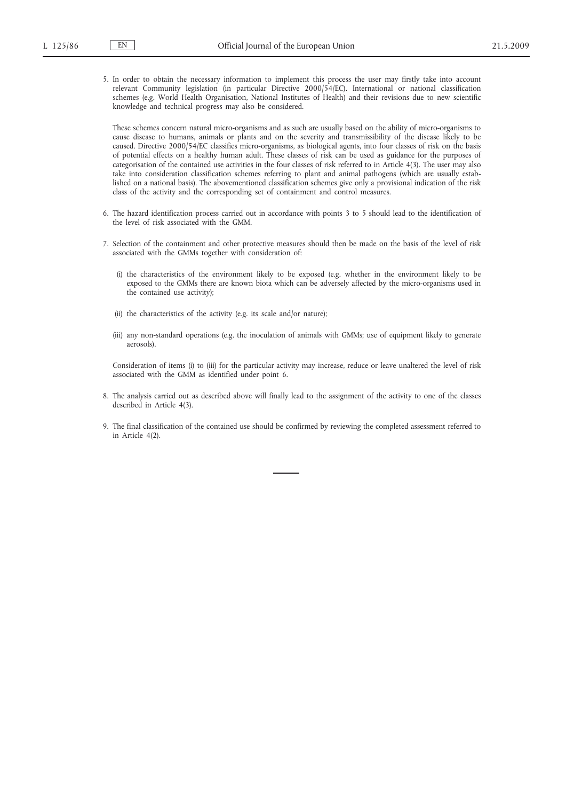5. In order to obtain the necessary information to implement this process the user may firstly take into account relevant Community legislation (in particular Directive 2000/54/EC). International or national classification schemes (e.g. World Health Organisation, National Institutes of Health) and their revisions due to new scientific knowledge and technical progress may also be considered.

These schemes concern natural micro-organisms and as such are usually based on the ability of micro-organisms to cause disease to humans, animals or plants and on the severity and transmissibility of the disease likely to be caused. Directive 2000/54/EC classifies micro-organisms, as biological agents, into four classes of risk on the basis of potential effects on a healthy human adult. These classes of risk can be used as guidance for the purposes of categorisation of the contained use activities in the four classes of risk referred to in Article 4(3). The user may also take into consideration classification schemes referring to plant and animal pathogens (which are usually established on a national basis). The abovementioned classification schemes give only a provisional indication of the risk class of the activity and the corresponding set of containment and control measures.

- 6. The hazard identification process carried out in accordance with points 3 to 5 should lead to the identification of the level of risk associated with the GMM.
- 7. Selection of the containment and other protective measures should then be made on the basis of the level of risk associated with the GMMs together with consideration of:
	- (i) the characteristics of the environment likely to be exposed (e.g. whether in the environment likely to be exposed to the GMMs there are known biota which can be adversely affected by the micro-organisms used in the contained use activity);
	- (ii) the characteristics of the activity (e.g. its scale and/or nature);
	- (iii) any non-standard operations (e.g. the inoculation of animals with GMMs; use of equipment likely to generate aerosols).

Consideration of items (i) to (iii) for the particular activity may increase, reduce or leave unaltered the level of risk associated with the GMM as identified under point 6.

- 8. The analysis carried out as described above will finally lead to the assignment of the activity to one of the classes described in Article 4(3).
- 9. The final classification of the contained use should be confirmed by reviewing the completed assessment referred to in Article 4(2).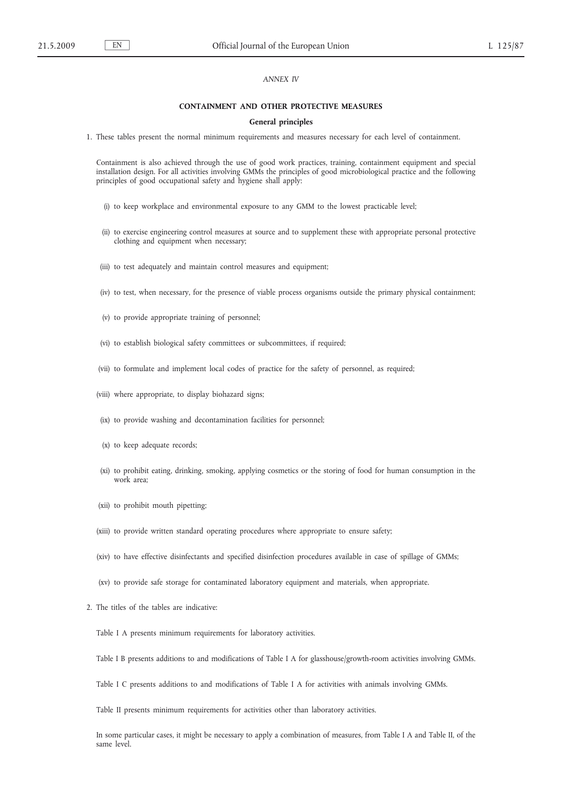# *ANNEX IV*

#### **CONTAINMENT AND OTHER PROTECTIVE MEASURES**

#### **General principles**

1. These tables present the normal minimum requirements and measures necessary for each level of containment.

Containment is also achieved through the use of good work practices, training, containment equipment and special installation design. For all activities involving GMMs the principles of good microbiological practice and the following principles of good occupational safety and hygiene shall apply:

- (i) to keep workplace and environmental exposure to any GMM to the lowest practicable level;
- (ii) to exercise engineering control measures at source and to supplement these with appropriate personal protective clothing and equipment when necessary;
- (iii) to test adequately and maintain control measures and equipment;
- (iv) to test, when necessary, for the presence of viable process organisms outside the primary physical containment;
- (v) to provide appropriate training of personnel;
- (vi) to establish biological safety committees or subcommittees, if required;
- (vii) to formulate and implement local codes of practice for the safety of personnel, as required;
- (viii) where appropriate, to display biohazard signs;
- (ix) to provide washing and decontamination facilities for personnel;
- (x) to keep adequate records;
- (xi) to prohibit eating, drinking, smoking, applying cosmetics or the storing of food for human consumption in the work area;
- (xii) to prohibit mouth pipetting;
- (xiii) to provide written standard operating procedures where appropriate to ensure safety;
- (xiv) to have effective disinfectants and specified disinfection procedures available in case of spillage of GMMs;
- (xv) to provide safe storage for contaminated laboratory equipment and materials, when appropriate.
- 2. The titles of the tables are indicative:

Table I A presents minimum requirements for laboratory activities.

- Table I B presents additions to and modifications of Table I A for glasshouse/growth-room activities involving GMMs.
- Table I C presents additions to and modifications of Table I A for activities with animals involving GMMs.

Table II presents minimum requirements for activities other than laboratory activities.

In some particular cases, it might be necessary to apply a combination of measures, from Table I A and Table II, of the same level.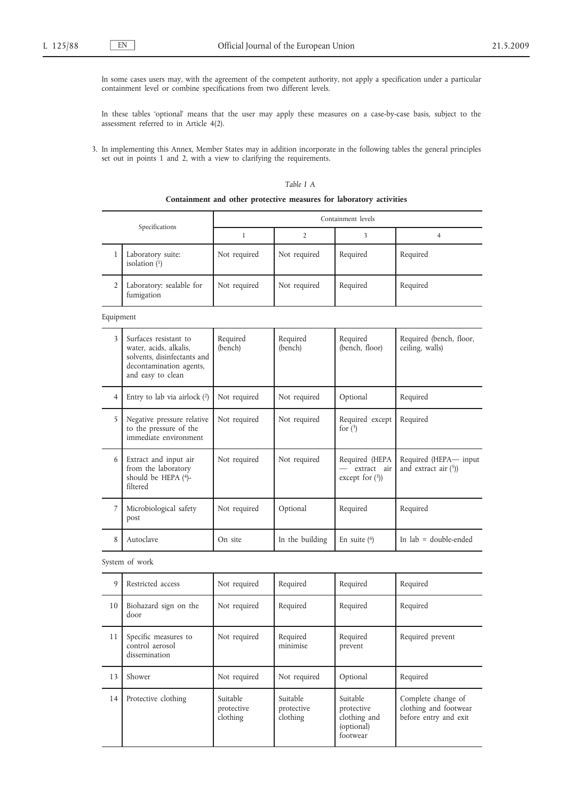In some cases users may, with the agreement of the competent authority, not apply a specification under a particular containment level or combine specifications from two different levels.

In these tables 'optional' means that the user may apply these measures on a case-by-case basis, subject to the assessment referred to in Article 4(2).

3. In implementing this Annex, Member States may in addition incorporate in the following tables the general principles set out in points 1 and 2, with a view to clarifying the requirements.

#### *Table I A*

#### **Containment and other protective measures for laboratory activities**

| Specifications |                                        | Containment levels |              |          |          |
|----------------|----------------------------------------|--------------------|--------------|----------|----------|
|                |                                        |                    |              |          |          |
|                | Laboratory suite:<br>isolation $(1)$   | Not required       | Not required | Required | Required |
|                | Laboratory: sealable for<br>fumigation | Not required       | Not required | Required | Required |

Equipment

| 3 | Surfaces resistant to<br>water, acids, alkalis,<br>solvents, disinfectants and<br>decontamination agents,<br>and easy to clean | Required<br>(bench) | Required<br>(bench) | Required<br>(bench, floor)                          | Required (bench, floor,<br>ceiling, walls)      |
|---|--------------------------------------------------------------------------------------------------------------------------------|---------------------|---------------------|-----------------------------------------------------|-------------------------------------------------|
| 4 | Entry to lab via airlock $(2)$                                                                                                 | Not required        | Not required        | Optional                                            | Required                                        |
| 5 | Negative pressure relative<br>to the pressure of the<br>immediate environment                                                  | Not required        | Not required        | Required except<br>for $(3)$                        | Required                                        |
| 6 | Extract and input air<br>from the laboratory<br>should be HEPA $(4)$ -<br>filtered                                             | Not required        | Not required        | Required (HEPA<br>extract air<br>except for $(3)$ ) | Required (HEPA-input<br>and extract air $(5)$ ) |
|   | Microbiological safety<br>post                                                                                                 | Not required        | Optional            | Required                                            | Required                                        |
| 8 | Autoclave                                                                                                                      | On site             | In the building     | En suite $(6)$                                      | In $lab = double-ended$                         |

# System of work

| 9  | Restricted access                                        | Not required                       | Required                           | Required                                                         | Required                                                             |
|----|----------------------------------------------------------|------------------------------------|------------------------------------|------------------------------------------------------------------|----------------------------------------------------------------------|
| 10 | Biohazard sign on the<br>door                            | Not required                       | Required                           | Required                                                         | Required                                                             |
| 11 | Specific measures to<br>control aerosol<br>dissemination | Not required                       | Required<br>minimise               | Required<br>prevent                                              | Required prevent                                                     |
| 13 | Shower                                                   | Not required                       | Not required                       | Optional                                                         | Required                                                             |
| 14 | Protective clothing                                      | Suitable<br>protective<br>clothing | Suitable<br>protective<br>clothing | Suitable<br>protective<br>clothing and<br>(optional)<br>footwear | Complete change of<br>clothing and footwear<br>before entry and exit |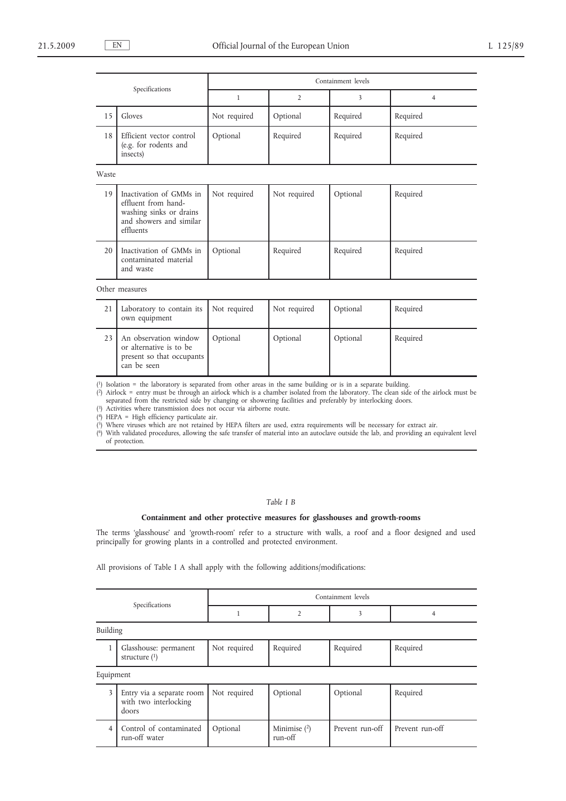| Specifications |                                                                                                                   | Containment levels |                |          |                |  |
|----------------|-------------------------------------------------------------------------------------------------------------------|--------------------|----------------|----------|----------------|--|
|                |                                                                                                                   | $\mathbf{1}$       | $\overline{2}$ | 3        | $\overline{4}$ |  |
| 15             | Gloves                                                                                                            | Not required       | Optional       | Required | Required       |  |
| 18             | Efficient vector control<br>(e.g. for rodents and<br>insects)                                                     | Optional           | Required       | Required | Required       |  |
| Waste          |                                                                                                                   |                    |                |          |                |  |
| 19             | Inactivation of GMMs in<br>effluent from hand-<br>washing sinks or drains<br>and showers and similar<br>effluents | Not required       | Not required   | Optional | Required       |  |
| 20             | Inactivation of GMMs in<br>contaminated material<br>and waste                                                     | Optional           | Required       | Required | Required       |  |
|                | Other measures                                                                                                    |                    |                |          |                |  |
| 21             | Laboratory to contain its<br>own equipment                                                                        | Not required       | Not required   | Optional | Required       |  |
| 23             | An observation window<br>or alternative is to be<br>present so that occupants<br>can be seen                      | Optional           | Optional       | Optional | Required       |  |

( 1) Isolation = the laboratory is separated from other areas in the same building or is in a separate building.

( 2) Airlock = entry must be through an airlock which is a chamber isolated from the laboratory. The clean side of the airlock must be separated from the restricted side by changing or showering facilities and preferably by interlocking doors.

( 3) Activities where transmission does not occur via airborne route.

( 4) HEPA = High efficiency particulate air.

( 5) Where viruses which are not retained by HEPA filters are used, extra requirements will be necessary for extract air.

( 6) With validated procedures, allowing the safe transfer of material into an autoclave outside the lab, and providing an equivalent level of protection.

# *Table I B*

#### **Containment and other protective measures for glasshouses and growth-rooms**

The terms 'glasshouse' and 'growth-room' refer to a structure with walls, a roof and a floor designed and used principally for growing plants in a controlled and protected environment.

All provisions of Table I A shall apply with the following additions/modifications:

| Specifications |                                                             | Containment levels |                           |                 |                 |  |
|----------------|-------------------------------------------------------------|--------------------|---------------------------|-----------------|-----------------|--|
|                |                                                             |                    | 2                         | 3               | 4               |  |
|                | Building                                                    |                    |                           |                 |                 |  |
| 1              | Glasshouse: permanent<br>structure $(1)$                    | Not required       | Required                  | Required        | Required        |  |
| Equipment      |                                                             |                    |                           |                 |                 |  |
| 3              | Entry via a separate room<br>with two interlocking<br>doors | Not required       | Optional                  | Optional        | Required        |  |
| $\overline{4}$ | Control of contaminated<br>run-off water                    | Optional           | Minimise $(2)$<br>run-off | Prevent run-off | Prevent run-off |  |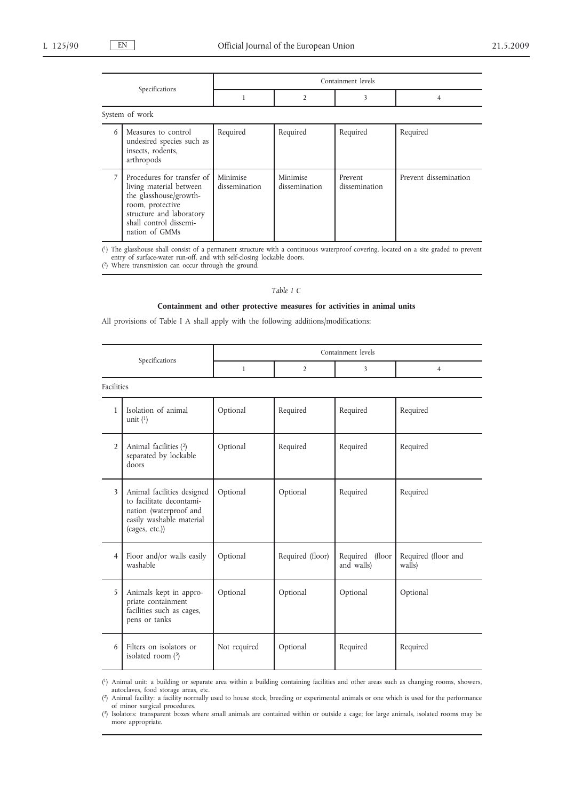| Specifications |                                                                                                                                                                             | Containment levels        |                           |                          |                       |  |
|----------------|-----------------------------------------------------------------------------------------------------------------------------------------------------------------------------|---------------------------|---------------------------|--------------------------|-----------------------|--|
|                |                                                                                                                                                                             |                           | $\overline{2}$            | 3                        | 4                     |  |
|                | System of work                                                                                                                                                              |                           |                           |                          |                       |  |
| 6              | Measures to control<br>undesired species such as<br>insects, rodents,<br>arthropods                                                                                         | Required                  | Required                  | Required                 | Required              |  |
| 7              | Procedures for transfer of<br>living material between<br>the glasshouse/growth-<br>room, protective<br>structure and laboratory<br>shall control dissemi-<br>nation of GMMs | Minimise<br>dissemination | Minimise<br>dissemination | Prevent<br>dissemination | Prevent dissemination |  |

( 1) The glasshouse shall consist of a permanent structure with a continuous waterproof covering, located on a site graded to prevent entry of surface-water run-off, and with self-closing lockable doors.

( 2) Where transmission can occur through the ground.

# *Table I C*

# **Containment and other protective measures for activities in animal units**

All provisions of Table I A shall apply with the following additions/modifications:

| Specifications |                                                                                                                                | Containment levels |                  |                               |                               |
|----------------|--------------------------------------------------------------------------------------------------------------------------------|--------------------|------------------|-------------------------------|-------------------------------|
|                |                                                                                                                                | $\mathbf{1}$       | $\overline{2}$   | 3                             | $\overline{4}$                |
| Facilities     |                                                                                                                                |                    |                  |                               |                               |
| 1              | Isolation of animal<br>unit $(1)$                                                                                              | Optional           | Required         | Required                      | Required                      |
| $\overline{2}$ | Animal facilities (2)<br>separated by lockable<br>doors                                                                        | Optional           | Required         | Required                      | Required                      |
| 3              | Animal facilities designed<br>to facilitate decontami-<br>nation (waterproof and<br>easily washable material<br>(cages, etc.)) | Optional           | Optional         | Required                      | Required                      |
| $\overline{4}$ | Floor and/or walls easily<br>washable                                                                                          | Optional           | Required (floor) | Required (floor<br>and walls) | Required (floor and<br>walls) |
| 5              | Animals kept in appro-<br>priate containment<br>facilities such as cages,<br>pens or tanks                                     | Optional           | Optional         | Optional                      | Optional                      |
| 6              | Filters on isolators or<br>isolated room $(3)$                                                                                 | Not required       | Optional         | Required                      | Required                      |

( 1) Animal unit: a building or separate area within a building containing facilities and other areas such as changing rooms, showers, autoclaves, food storage areas, etc.

( 2) Animal facility: a facility normally used to house stock, breeding or experimental animals or one which is used for the performance of minor surgical procedures.

<sup>(</sup> 3) Isolators: transparent boxes where small animals are contained within or outside a cage; for large animals, isolated rooms may be more appropriate.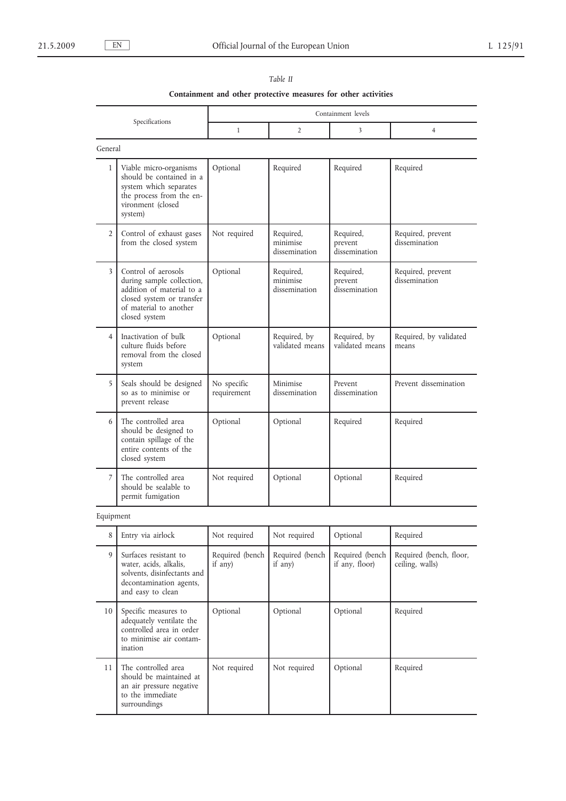|                | Containment and other protective measures for other activities                                                                                        |                            |                                        |                                       |                                            |
|----------------|-------------------------------------------------------------------------------------------------------------------------------------------------------|----------------------------|----------------------------------------|---------------------------------------|--------------------------------------------|
|                |                                                                                                                                                       |                            |                                        | Containment levels                    |                                            |
|                | Specifications                                                                                                                                        | $\mathbf{1}$               | $\overline{2}$                         | 3                                     | $\overline{4}$                             |
| General        |                                                                                                                                                       |                            |                                        |                                       |                                            |
| 1              | Viable micro-organisms<br>should be contained in a<br>system which separates<br>the process from the en-<br>vironment (closed<br>system)              | Optional                   | Required                               | Required                              | Required                                   |
| $\overline{2}$ | Control of exhaust gases<br>from the closed system                                                                                                    | Not required               | Required,<br>minimise<br>dissemination | Required,<br>prevent<br>dissemination | Required, prevent<br>dissemination         |
| 3              | Control of aerosols<br>during sample collection,<br>addition of material to a<br>closed system or transfer<br>of material to another<br>closed system | Optional                   | Required,<br>minimise<br>dissemination | Required,<br>prevent<br>dissemination | Required, prevent<br>dissemination         |
| $\overline{4}$ | Inactivation of bulk<br>culture fluids before<br>removal from the closed<br>system                                                                    | Optional                   | Required, by<br>validated means        | Required, by<br>validated means       | Required, by validated<br>means            |
| 5              | Seals should be designed<br>so as to minimise or<br>prevent release                                                                                   | No specific<br>requirement | Minimise<br>dissemination              | Prevent<br>dissemination              | Prevent dissemination                      |
| 6              | The controlled area<br>should be designed to<br>contain spillage of the<br>entire contents of the<br>closed system                                    | Optional                   | Optional                               | Required                              | Required                                   |
| 7              | The controlled area<br>should be sealable to<br>permit fumigation                                                                                     | Not required               | Optional                               | Optional                              | Required                                   |
| Equipment      |                                                                                                                                                       |                            |                                        |                                       |                                            |
| 8              | Entry via airlock                                                                                                                                     | Not required               | Not required                           | Optional                              | Required                                   |
| 9              | Surfaces resistant to<br>water, acids, alkalis,<br>solvents, disinfectants and<br>decontamination agents,<br>and easy to clean                        | Required (bench<br>if any) | Required (bench<br>if any)             | Required (bench<br>if any, floor)     | Required (bench, floor,<br>ceiling, walls) |
| 10             | Specific measures to<br>adequately ventilate the<br>controlled area in order<br>to minimise air contam-<br>ination                                    | Optional                   | Optional                               | Optional                              | Required                                   |
| 11             | The controlled area<br>should be maintained at<br>an air pressure negative<br>to the immediate<br>surroundings                                        | Not required               | Not required                           | Optional                              | Required                                   |

# *Table II*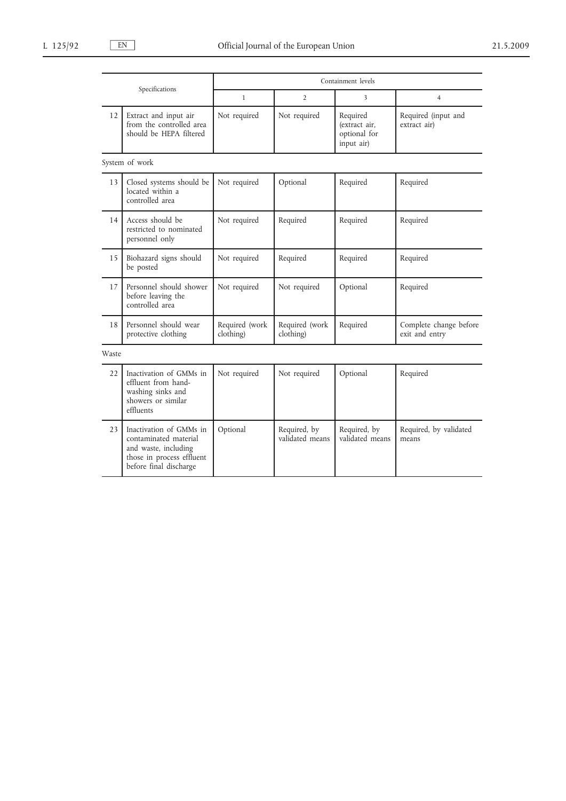| Specifications |                                                                                                                                 | Containment levels          |                                 |                                                         |                                          |
|----------------|---------------------------------------------------------------------------------------------------------------------------------|-----------------------------|---------------------------------|---------------------------------------------------------|------------------------------------------|
|                |                                                                                                                                 | $\mathbf{1}$                | 2                               | 3                                                       | $\overline{4}$                           |
| 12             | Extract and input air<br>from the controlled area<br>should be HEPA filtered                                                    | Not required                | Not required                    | Required<br>(extract air,<br>optional for<br>input air) | Required (input and<br>extract air)      |
|                | System of work                                                                                                                  |                             |                                 |                                                         |                                          |
| 13             | Closed systems should be<br>located within a<br>controlled area                                                                 | Not required                | Optional                        | Required                                                | Required                                 |
| 14             | Access should be<br>restricted to nominated<br>personnel only                                                                   | Not required                | Required                        | Required                                                | Required                                 |
| 15             | Biohazard signs should<br>be posted                                                                                             | Not required                | Required                        | Required                                                | Required                                 |
| 17             | Personnel should shower<br>before leaving the<br>controlled area                                                                | Not required                | Not required                    | Optional                                                | Required                                 |
| 18             | Personnel should wear<br>protective clothing                                                                                    | Required (work<br>clothing) | Required (work<br>clothing)     | Required                                                | Complete change before<br>exit and entry |
| Waste          |                                                                                                                                 |                             |                                 |                                                         |                                          |
| 22             | Inactivation of GMMs in<br>effluent from hand-<br>washing sinks and<br>showers or similar<br>effluents                          | Not required                | Not required                    | Optional                                                | Required                                 |
| 23             | Inactivation of GMMs in<br>contaminated material<br>and waste, including<br>those in process effluent<br>before final discharge | Optional                    | Required, by<br>validated means | Required, by<br>validated means                         | Required, by validated<br>means          |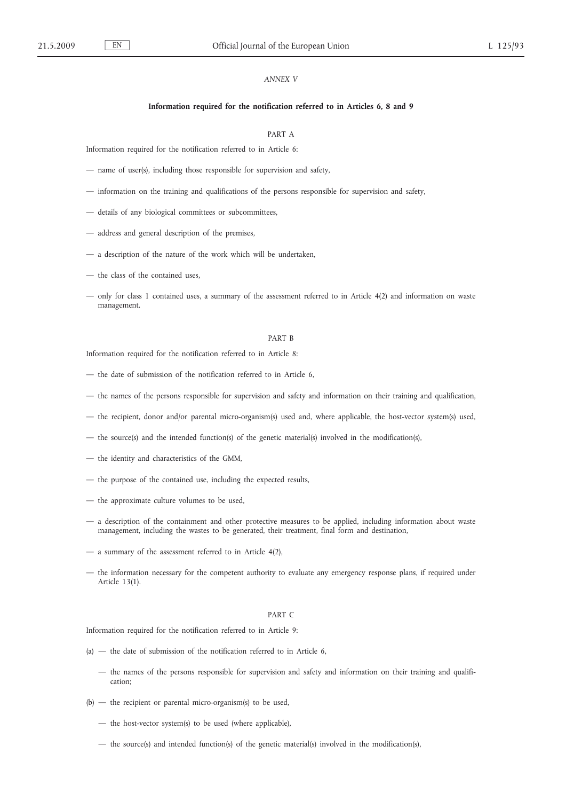# *ANNEX V*

#### **Information required for the notification referred to in Articles 6, 8 and 9**

# PART A

Information required for the notification referred to in Article 6:

- name of user(s), including those responsible for supervision and safety,
- information on the training and qualifications of the persons responsible for supervision and safety,
- details of any biological committees or subcommittees,
- address and general description of the premises,
- a description of the nature of the work which will be undertaken,
- the class of the contained uses,
- only for class 1 contained uses, a summary of the assessment referred to in Article 4(2) and information on waste management.

# PART B

Information required for the notification referred to in Article 8:

- the date of submission of the notification referred to in Article 6,
- the names of the persons responsible for supervision and safety and information on their training and qualification,
- the recipient, donor and/or parental micro-organism(s) used and, where applicable, the host-vector system(s) used,
- the source(s) and the intended function(s) of the genetic material(s) involved in the modification(s),
- the identity and characteristics of the GMM,
- the purpose of the contained use, including the expected results,
- the approximate culture volumes to be used,
- a description of the containment and other protective measures to be applied, including information about waste management, including the wastes to be generated, their treatment, final form and destination,
- a summary of the assessment referred to in Article 4(2),
- the information necessary for the competent authority to evaluate any emergency response plans, if required under Article 13(1).

#### PART C

Information required for the notification referred to in Article 9:

- $(a)$  the date of submission of the notification referred to in Article 6,
	- the names of the persons responsible for supervision and safety and information on their training and qualification;
- (b) the recipient or parental micro-organism(s) to be used,
	- the host-vector system(s) to be used (where applicable),
	- the source(s) and intended function(s) of the genetic material(s) involved in the modification(s),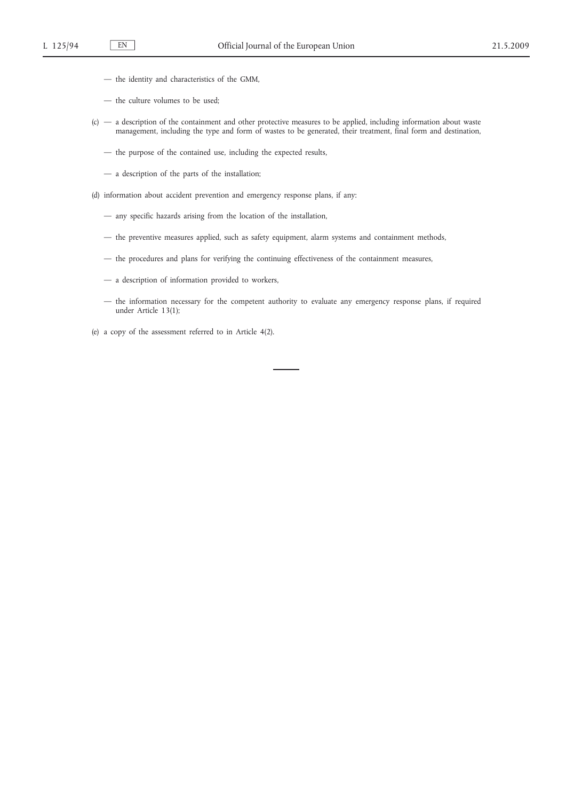- the identity and characteristics of the GMM,
- the culture volumes to be used;
- (c) a description of the containment and other protective measures to be applied, including information about waste management, including the type and form of wastes to be generated, their treatment, final form and destination,
	- the purpose of the contained use, including the expected results,
	- a description of the parts of the installation;
- (d) information about accident prevention and emergency response plans, if any:
	- any specific hazards arising from the location of the installation,
	- the preventive measures applied, such as safety equipment, alarm systems and containment methods,
	- the procedures and plans for verifying the continuing effectiveness of the containment measures,
	- a description of information provided to workers,
	- the information necessary for the competent authority to evaluate any emergency response plans, if required under Article 13(1);

(e) a copy of the assessment referred to in Article 4(2).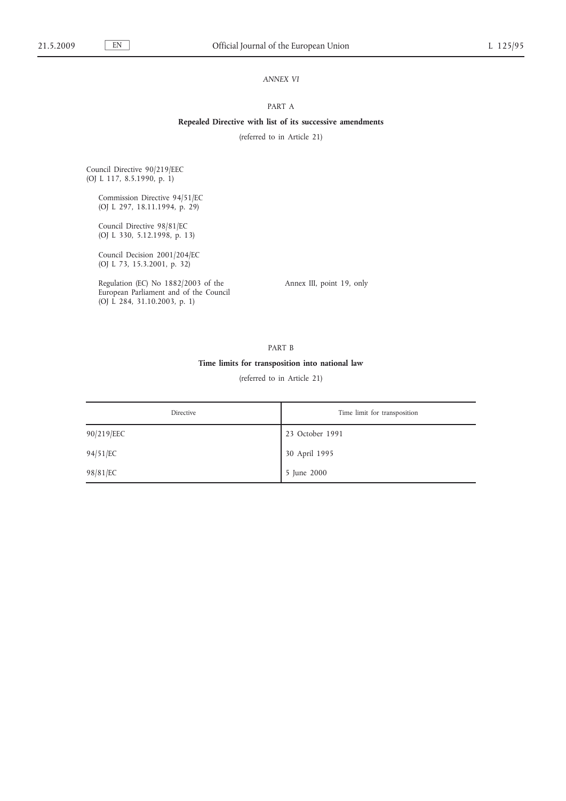# *ANNEX VI*

# PART A

# **Repealed Directive with list of its successive amendments**

(referred to in Article 21)

Council Directive 90/219/EEC (OJ L 117, 8.5.1990, p. 1)

> Commission Directive 94/51/EC (OJ L 297, 18.11.1994, p. 29)

Council Directive 98/81/EC (OJ L 330, 5.12.1998, p. 13)

Council Decision 2001/204/EC (OJ L 73, 15.3.2001, p. 32)

Regulation (EC) No 1882/2003 of the European Parliament and of the Council (OJ L 284, 31.10.2003, p. 1)

Annex III, point 19, only

PART B

# **Time limits for transposition into national law**

(referred to in Article 21)

| Directive  | Time limit for transposition |
|------------|------------------------------|
| 90/219/EEC | 23 October 1991              |
| 94/51/EC   | 30 April 1995                |
| 98/81/EC   | 5 June 2000                  |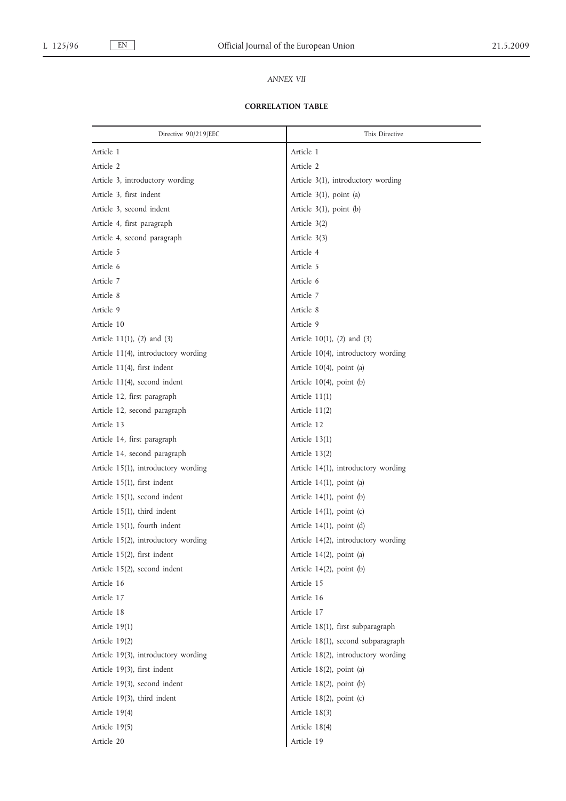# *ANNEX VII*

# **CORRELATION TABLE**

| Directive 90/219/EEC                | This Directive                      |
|-------------------------------------|-------------------------------------|
| Article 1                           | Article 1                           |
| Article 2                           | Article 2                           |
| Article 3, introductory wording     | Article 3(1), introductory wording  |
| Article 3, first indent             | Article 3(1), point (a)             |
| Article 3, second indent            | Article 3(1), point (b)             |
| Article 4, first paragraph          | Article 3(2)                        |
| Article 4, second paragraph         | Article 3(3)                        |
| Article 5                           | Article 4                           |
| Article 6                           | Article 5                           |
| Article 7                           | Article 6                           |
| Article 8                           | Article 7                           |
| Article 9                           | Article 8                           |
| Article 10                          | Article 9                           |
| Article $11(1)$ , $(2)$ and $(3)$   | Article $10(1)$ , (2) and (3)       |
| Article 11(4), introductory wording | Article 10(4), introductory wording |
| Article 11(4), first indent         | Article 10(4), point (a)            |
| Article 11(4), second indent        | Article 10(4), point (b)            |
| Article 12, first paragraph         | Article $11(1)$                     |
| Article 12, second paragraph        | Article 11(2)                       |
| Article 13                          | Article 12                          |
| Article 14, first paragraph         | Article $13(1)$                     |
| Article 14, second paragraph        | Article 13(2)                       |
| Article 15(1), introductory wording | Article 14(1), introductory wording |
| Article 15(1), first indent         | Article 14(1), point (a)            |
| Article 15(1), second indent        | Article 14(1), point (b)            |
| Article 15(1), third indent         | Article 14(1), point (c)            |
| Article 15(1), fourth indent        | Article 14(1), point (d)            |
| Article 15(2), introductory wording | Article 14(2), introductory wording |
| Article 15(2), first indent         | Article 14(2), point (a)            |
| Article 15(2), second indent        | Article $14(2)$ , point (b)         |
| Article 16                          | Article 15                          |
| Article 17                          | Article 16                          |
| Article 18                          | Article 17                          |
| Article 19(1)                       | Article 18(1), first subparagraph   |
| Article $19(2)$                     | Article 18(1), second subparagraph  |
| Article 19(3), introductory wording | Article 18(2), introductory wording |
| Article 19(3), first indent         | Article 18(2), point (a)            |
| Article 19(3), second indent        | Article $18(2)$ , point (b)         |
| Article 19(3), third indent         | Article 18(2), point (c)            |
| Article 19(4)                       | Article 18(3)                       |
| Article 19(5)                       | Article 18(4)                       |
| Article 20                          | Article 19                          |